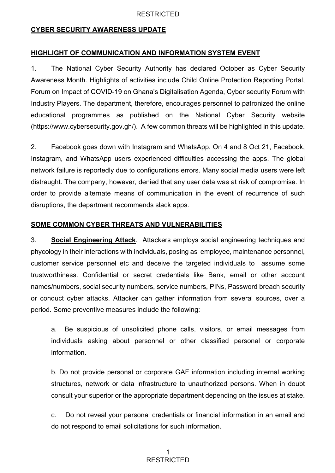### RESTRICTED

### **CYBER SECURITY AWARENESS UPDATE**

#### **HIGHLIGHT OF COMMUNICATION AND INFORMATION SYSTEM EVENT**

1. The National Cyber Security Authority has declared October as Cyber Security Awareness Month. Highlights of activities include Child Online Protection Reporting Portal, Forum on Impact of COVID-19 on Ghana's Digitalisation Agenda, Cyber security Forum with Industry Players. The department, therefore, encourages personnel to patronized the online educational programmes as published on the National Cyber Security website (https://www.cybersecurity.gov.gh/). A few common threats will be highlighted in this update.

2. Facebook goes down with Instagram and WhatsApp. On 4 and 8 Oct 21, Facebook, Instagram, and WhatsApp users experienced difficulties accessing the apps. The global network failure is reportedly due to configurations errors. Many social media users were left distraught. The company, however, denied that any user data was at risk of compromise. In order to provide alternate means of communication in the event of recurrence of such disruptions, the department recommends slack apps.

### **SOME COMMON CYBER THREATS AND VULNERABILITIES**

3. **Social Engineering Attack**. Attackers employs social engineering techniques and phycology in their interactions with individuals, posing as employee, maintenance personnel, customer service personnel etc and deceive the targeted individuals to assume some trustworthiness. Confidential or secret credentials like Bank, email or other account names/numbers, social security numbers, service numbers, PINs, Password breach security or conduct cyber attacks. Attacker can gather information from several sources, over a period. Some preventive measures include the following:

a. Be suspicious of unsolicited phone calls, visitors, or email messages from individuals asking about personnel or other classified personal or corporate information.

b. Do not provide personal or corporate GAF information including internal working structures, network or data infrastructure to unauthorized persons. When in doubt consult your superior or the appropriate department depending on the issues at stake.

c. Do not reveal your personal credentials or financial information in an email and do not respond to email solicitations for such information.

### 1 RESTRICTED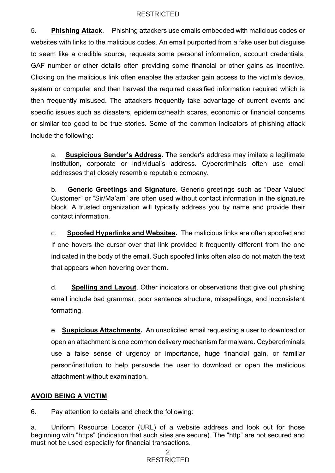### **RESTRICTED**

5. **Phishing Attack**. Phishing attackers use emails embedded with malicious codes or websites with links to the malicious codes. An email purported from a fake user but disguise to seem like a credible source, requests some personal information, account credentials, GAF number or other details often providing some financial or other gains as incentive. Clicking on the malicious link often enables the attacker gain access to the victim's device, system or computer and then harvest the required classified information required which is then frequently misused. The attackers frequently take advantage of current events and specific issues such as disasters, epidemics/health scares, economic or financial concerns or similar too good to be true stories. Some of the common indicators of phishing attack include the following:

a. **Suspicious Sender's Address.** The sender's address may imitate a legitimate institution, corporate or individual's address. Cybercriminals often use email addresses that closely resemble reputable company.

b. **Generic Greetings and Signature.** Generic greetings such as "Dear Valued Customer" or "Sir/Ma'am" are often used without contact information in the signature block. A trusted organization will typically address you by name and provide their contact information.

c. **Spoofed Hyperlinks and Websites.** The malicious links are often spoofed and If one hovers the cursor over that link provided it frequently different from the one indicated in the body of the email. Such spoofed links often also do not match the text that appears when hovering over them.

d. **Spelling and Layout**. Other indicators or observations that give out phishing email include bad grammar, poor sentence structure, misspellings, and inconsistent formatting.

e. **Suspicious Attachments.** An unsolicited email requesting a user to download or open an attachment is one common delivery mechanism for malware. Ccybercriminals use a false sense of urgency or importance, huge financial gain, or familiar person/institution to help persuade the user to download or open the malicious attachment without examination.

# **AVOID BEING A VICTIM**

6. Pay attention to details and check the following:

a. Uniform Resource Locator (URL) of a website address and look out for those beginning with "https" (indication that such sites are secure). The "http" are not secured and must not be used especially for financial transactions.